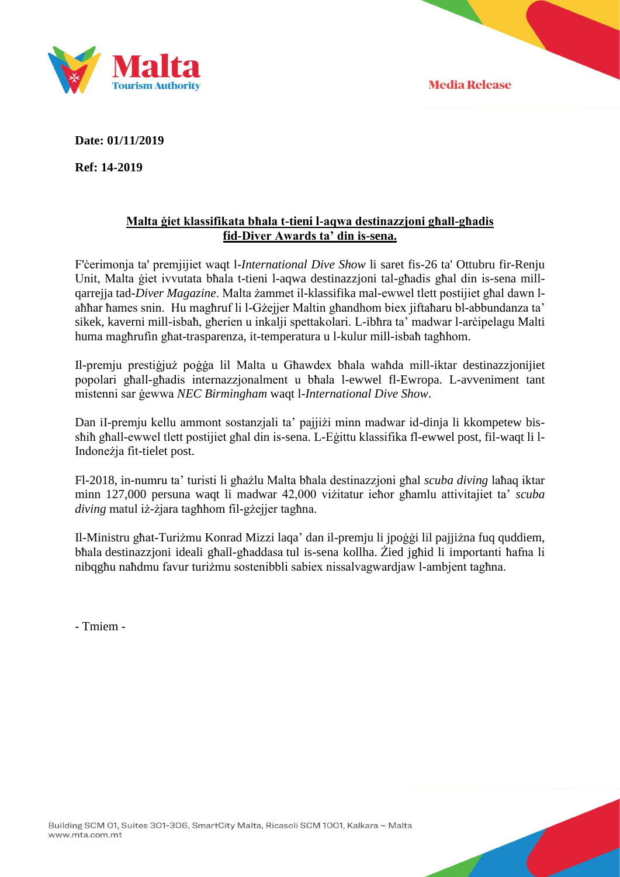



**Date: 01/11/2019**

**Ref: 14-2019**

## **Malta ġiet klassifikata bħala t-tieni l-aqwa destinazzjoni għall-għadis fid-Diver Awards ta' din is-sena.**

F'ċerimonja ta' premjijiet waqt l-*International Dive Show* li saret fis-26 ta' Ottubru fir-Renju Unit, Malta ġiet ivvutata bħala t-tieni l-aqwa destinazzjoni tal-għadis għal din is-sena millqarrejja tad-*Diver Magazine*. Malta żammet il-klassifika mal-ewwel tlett postijiet għal dawn laħħar ħames snin. Hu magħruf li l-Gżejjer Maltin għandhom biex jiftaħaru bl-abbundanza ta' sikek, kaverni mill-isbaħ, għerien u inkalji spettakolari. L-ibħra ta' madwar l-arċipelagu Malti huma magħrufin għat-trasparenza, it-temperatura u l-kulur mill-isbaħ tagħhom.

Il-premju prestiġjuż poġġa lil Malta u Għawdex bħala waħda mill-iktar destinazzjonijiet popolari għall-għadis internazzjonalment u bħala l-ewwel fl-Ewropa. L-avveniment tant mistenni sar ġewwa *NEC Birmingham* waqt l-*International Dive Show*.

Dan iI-premju kellu ammont sostanzjali ta' pajjiżi minn madwar id-dinja li kkompetew bissħiħ għall-ewwel tlett postijiet għal din is-sena. L-Eġittu klassifika fl-ewwel post, fil-waqt li l-Indoneżja fit-tielet post.

Fl-2018, in-numru ta' turisti li għażlu Malta bħala destinazzjoni għal *scuba diving* laħaq iktar minn 127,000 persuna waqt li madwar 42,000 viżitatur ieħor għamlu attivitajiet ta' *scuba diving* matul iż-żjara tagħhom fil-gżejjer tagħna.

Il-Ministru għat-Turiżmu Konrad Mizzi laqa' dan il-premju li jpoġġi lil pajjiżna fuq quddiem, bħala destinazzjoni ideali għall-għaddasa tul is-sena kollha. Żied jgħid li importanti ħafna li nibqgħu naħdmu favur turiżmu sostenibbli sabiex nissalvagwardjaw l-ambjent tagħna.

- Tmiem -